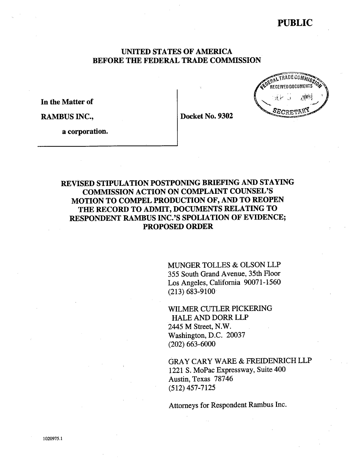# PUBLIC

.<br>Received Documents

## UNITED STATES OF AMERICA BEFORE THE FEDERAL TRADE COMMSSION

In the Matter of

RAMBUS INC., Docket No. 9302

a corporation.

## REVISED STIPULATION POSTPONING BRIEFING AND STAYING COMMSSION ACTION ON COMPLAINT COUNSEL' MOTION TO COMPEL PRODUCTION OF, AND TO REOPEN THE RECORD TO ADMIT, DOCUMENTS RELATING TO RESPONDENT RAMBUS INC.'S SPOLIATION OF EVIDENCE; PROPOSED ORDER

MUNGER TOLLES & OLSON LLP 355 South Grand Avenue, 35th Floor Los Angeles, California 90071-1560 (213) 683-9100

WILMER CUTLER PICKERING HALE AND DORR LLP 2445 M Street, N.W. Washington, D.C. 20037 (202) 663-6000

GRAY CARY WARE & FREIDENRICH LLP 1221 S. MoPac Expressway, Suite 400 Austin, Texas 78746 (512) 457-7125

Attorneys for Respondent Rambus Inc.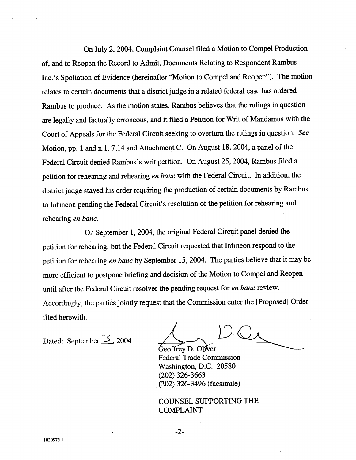On July 2, 2004, Complaint Counsel filed a Motion to Compel Production of, and to Reopen the Record to Admit, Documents Relating to Respondent Rambus Inc.'s Spoliation of Evidence (hereinafter "Motion to Compel and Reopen"). The motion relates to certain documents that a district judge in a related federal case has ordered Rambus to produce. As the motion states, Rambus believes that the rulings in question are legally and factually erroneous, and it filed a Petition for Writ of Mandamus with the Court of Appeals for the Federal Circuit seeking to overturn the rulings in question. See Motion, pp. 1 and n.1, 7,14 and Attachment C. On August 18, 2004, a panel of the Federal Circuit denied Rambus's writ petition. On August 25, 2004, Rambus filed a petition for rehearing and rehearing en banc with the Federal Circuit. In addition, the district judge stayed his order requiring the production of certain documents by Rambus to Infineon pending the Federal Circuit's resolution of the petition for rehearng and rehearing en banc.

On September 1, 2004, the original Federal Circuit panel denied the petition for rehearing, but the Federal Circuit requested that Infineon respond to the petition for rehearing en banc by September 15, 2004. The parties believe that it may be more efficient to postpone briefing and decision of the Motion to Compel and Reopen until after the Federal Circuit resolves the pending request for en banc review. Accordingly, the parties jointly request that the Commission enter the [Proposed] Order filed herewith.

Dated: September  $\overline{\mathcal{S}}$ , 2004

Geoffrey D. Oliver Federal Trade Commission Washington, D.C. 20580 (202) 326-3663 (202) 326-3496 (facsimile)

COUNSEL SUPPORTING THE COMPLAINT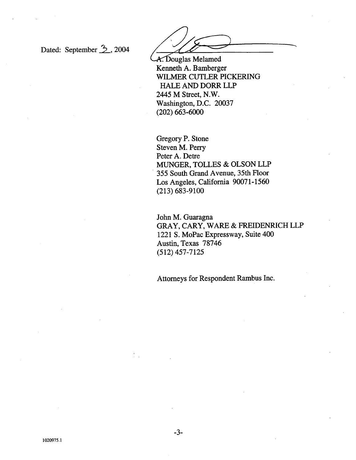Dated: September 2, 2004

A. Douglas Melamed Kenneth A. Bamberger WILMER CUTLER PICKERING HALE AND DORR LLP 2445 M Street, N. Washington, D.C. 20037 (202) 663-6000

Gregory P. Stone Steven M. Perry Peter A. Detre MUNGER, TOLLES & OLSON LLP . 355 South Grand A venue, 35th Floor Los Angeles, California 90071-1560 (213) 683-9100

John M. Guaragna GRAY, CARY, WARE & FREIDENRICH LLP 1221 S. MoPac Expressway, Suite 400 Austin, Texas 78746 (512) 457-7125

Attorneys for Respondent Rambus Inc.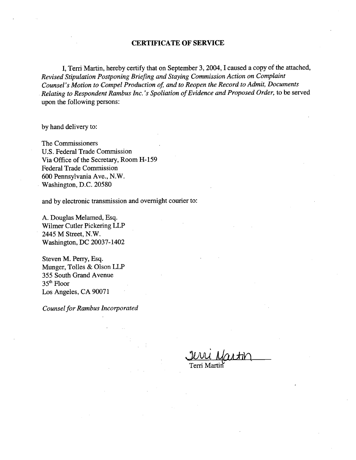#### CERTIFICATE OF SERVICE

I, Terri Martin, hereby certify that on September 3, 2004, I caused a copy of the attached, Revised Stipulation Postponing Briefing and Staying Commission Action on Complaint Counsel's Motion to Compel Production of, and to Reopen the Record to Admit, Documents Relating to Respondent Rambus Inc.'s Spoliation of Evidence and Proposed Order, to be served upon the following persons:

by hand delivery to:

The Commissioners U.S. Federal Trade Commission Via Office of the Secretary, Room H-159 Federal Trade Commission 600 Pennsylvania Ave., N. Washington, D.C. 20580

and by electronic transmission and overnight courier to:

A. Douglas Melamed, Esq. Wilmer Cutler Pickering LLP 2445 M Street, N. Washington, DC 20037- 1402

Steven M. Perry, Esq. Munger, Tolles & Olson LLP 355 South Grand Avenue 35th Floor Los Angeles, CA 90071

Counsel for Rambus Incorporated

Terri Martir